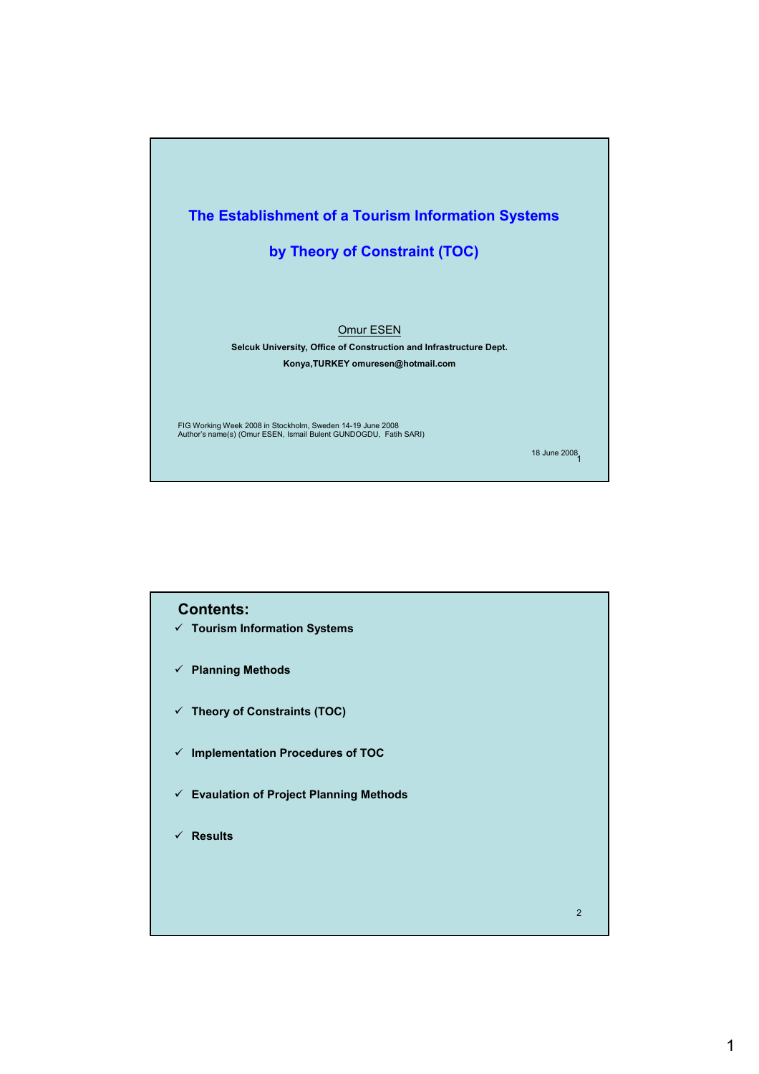

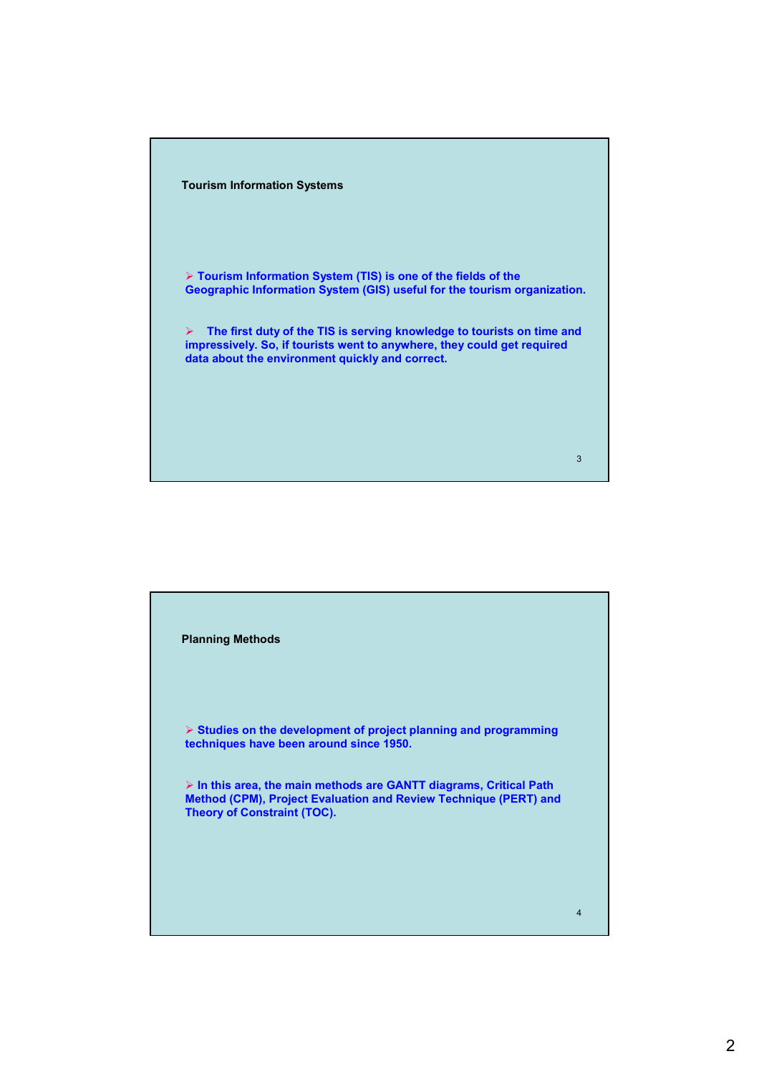

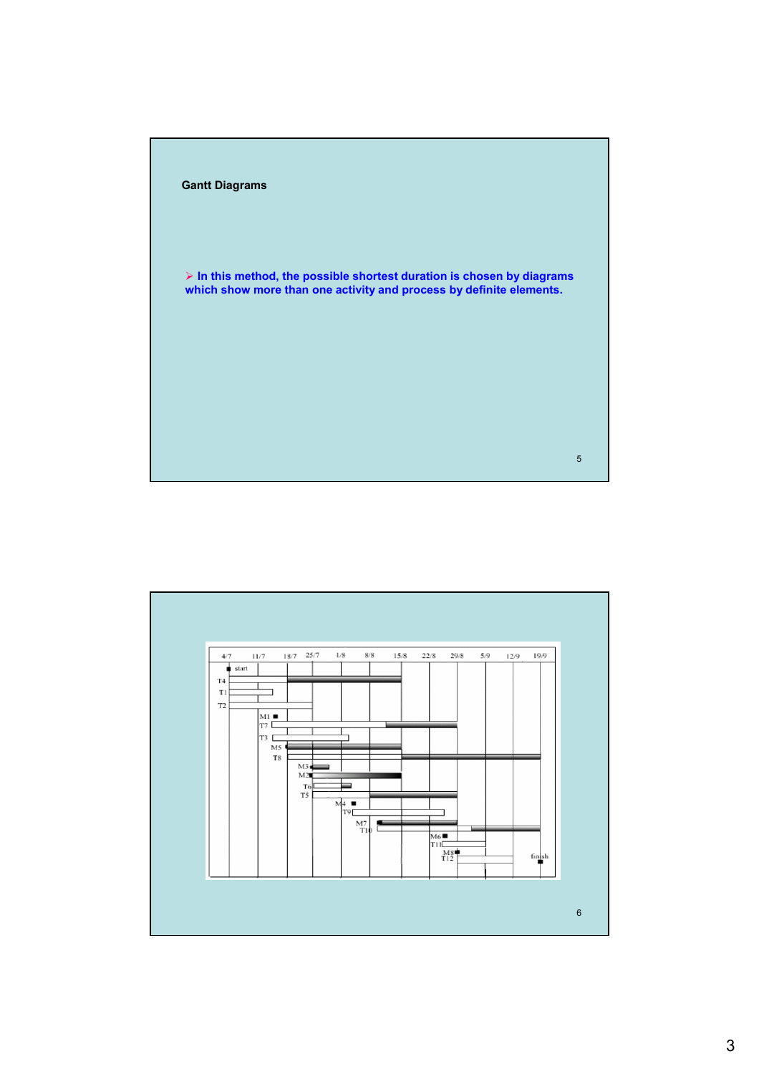

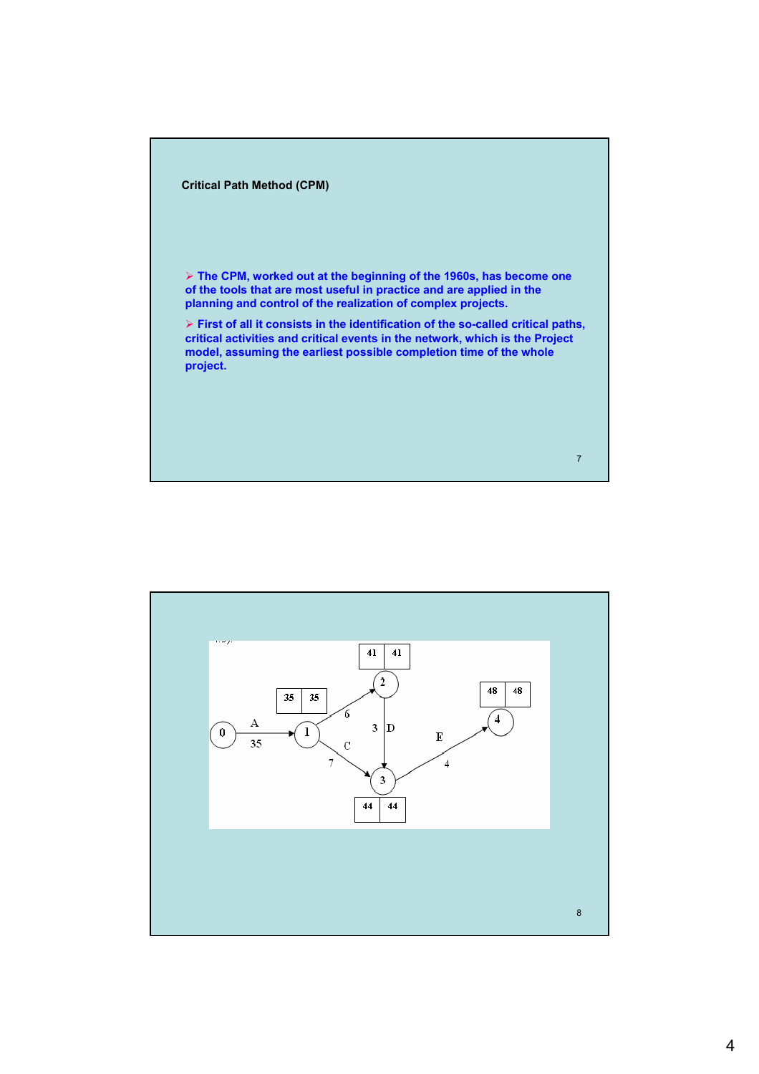

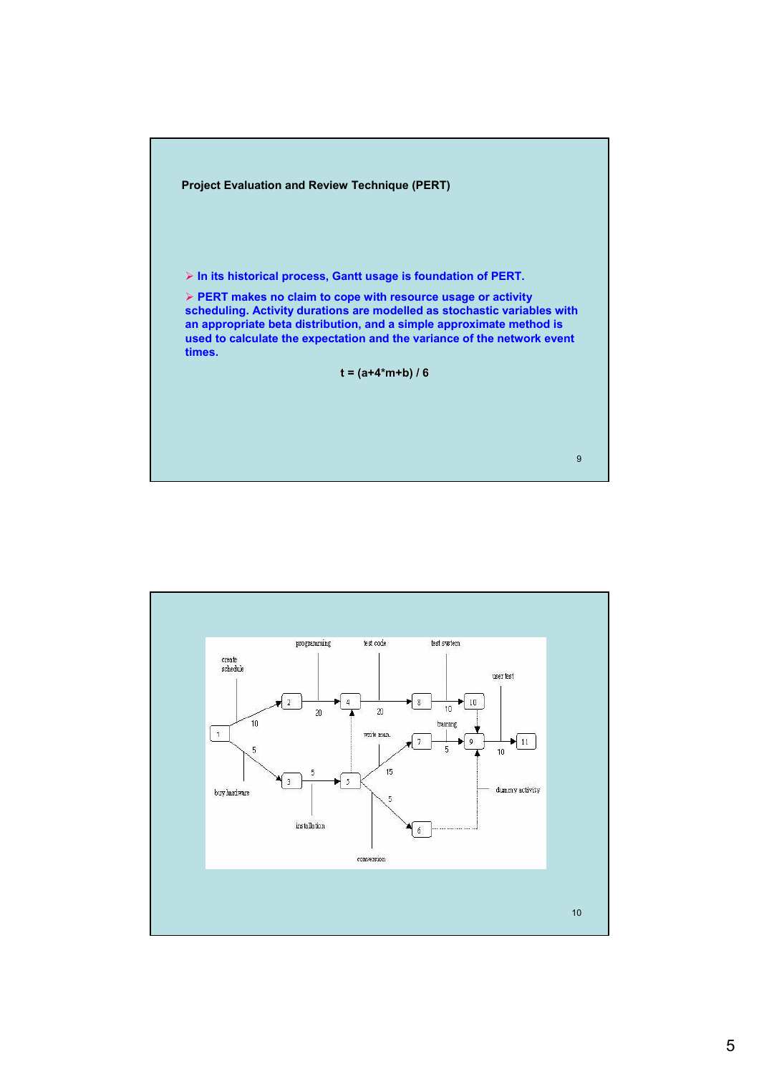

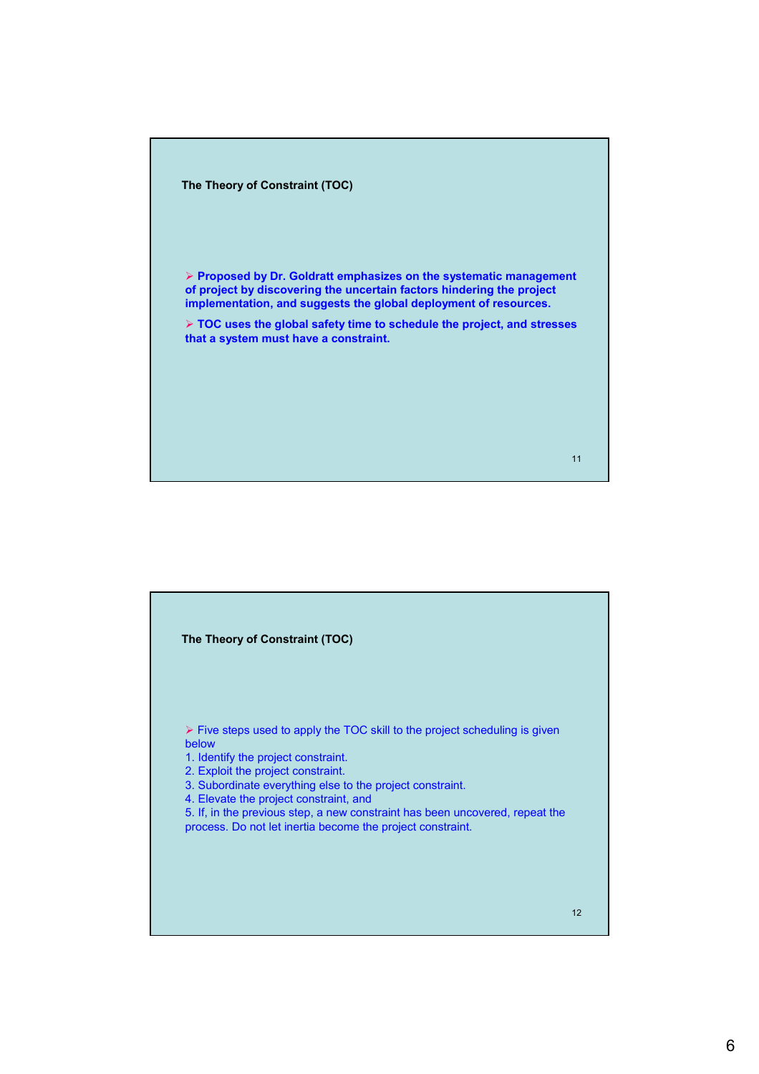

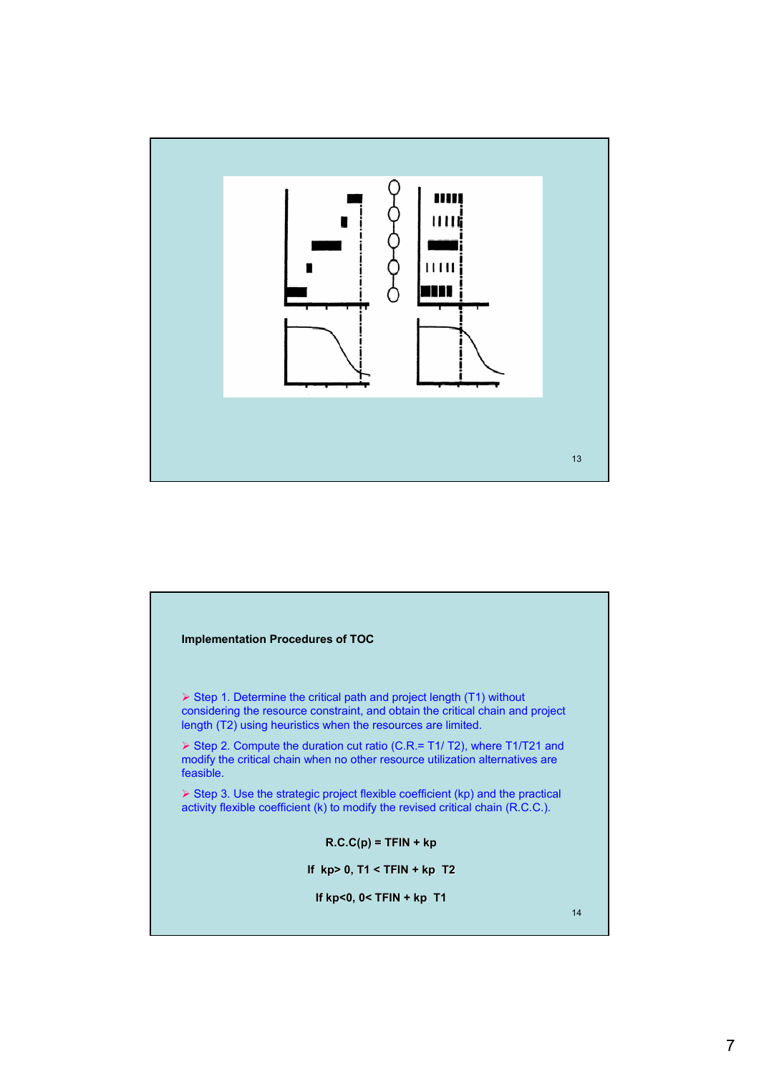

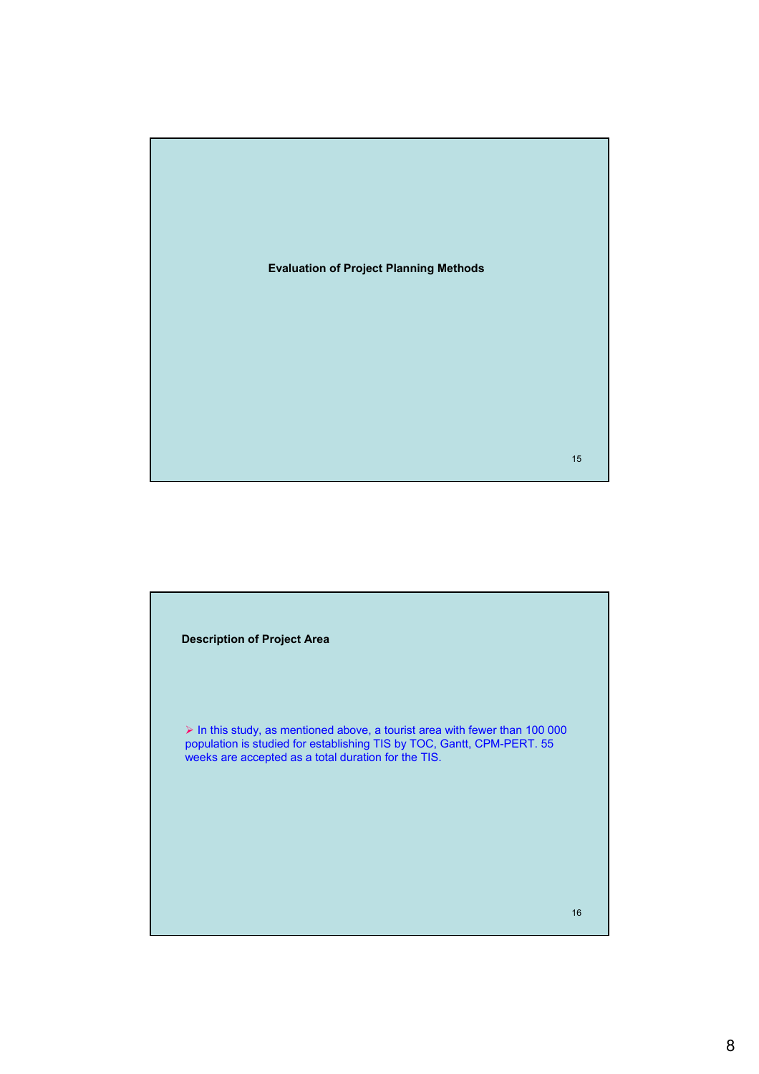

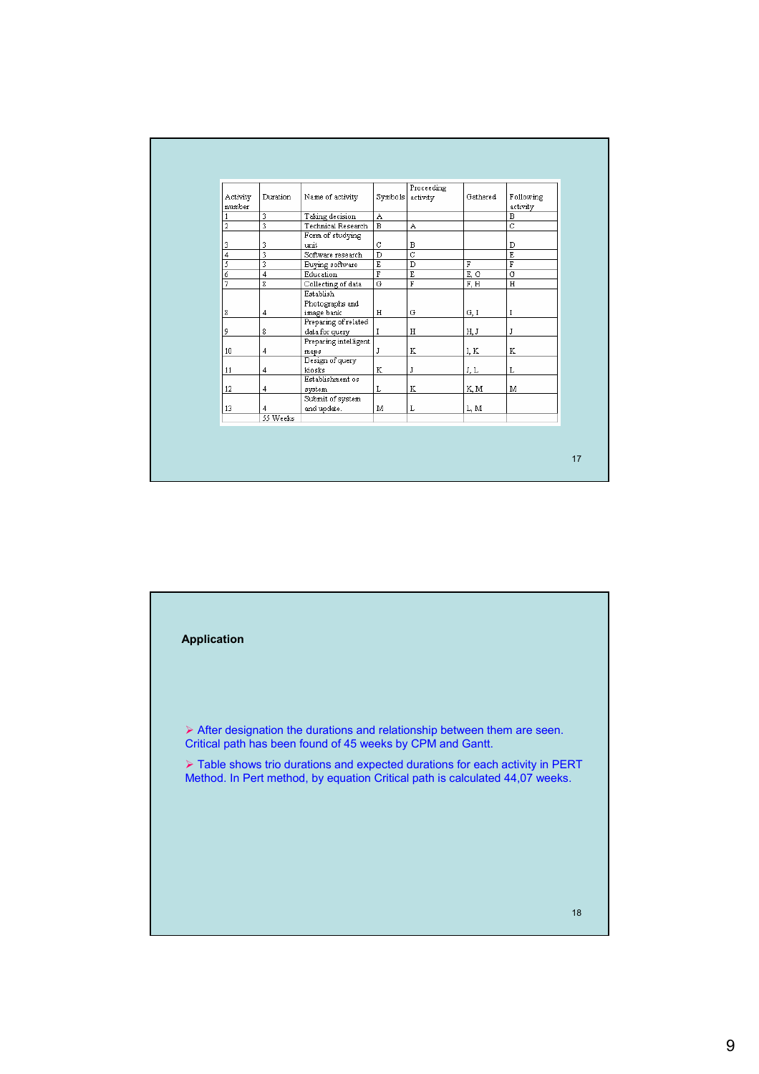| Activity | Duration                | Name of activity                       | Symbols                 | Proceeding<br>activity  | Gathered | Following               |
|----------|-------------------------|----------------------------------------|-------------------------|-------------------------|----------|-------------------------|
| number   | $\overline{\mathbf{3}}$ |                                        |                         |                         |          | activity                |
|          |                         | Taking decision<br>Technical Research  | A<br>$\overline{B}$     |                         |          | B<br>$\overline{c}$     |
| 2        |                         | Form of studying                       |                         | A                       |          |                         |
| 3        | 3                       | unit                                   | $\mathbf C$             | в                       |          | D                       |
| 4        |                         | Software research                      | $\overline{\texttt{D}}$ | $\overline{c}$          |          | $\overline{E}$          |
| 5        | 3                       | Buying software                        | $\overline{\text{E}}$   | $\overline{\mathbb{D}}$ | F        | $\overline{\mathrm{F}}$ |
| 6        | 4                       | Education                              | $\overline{\mathbf{F}}$ | Έ                       | E, G     | $\overline{G}$          |
| 7        | 8                       | Collecting of data                     | $\overline{G}$          | $\overline{\mathbf{F}}$ | F, H     | $\rm H$                 |
|          |                         | Establish<br>Photographs and           |                         |                         |          |                         |
| 8        | 4                       | image bank                             | H                       | G                       | G, I     | I                       |
| 9        | 8                       | Preparing of related<br>data for query | I                       | Н                       | H, J     | J                       |
| 10       | 4                       | Preparing intelligent<br>maps          | J                       | K                       | I, K     | K                       |
| 11       | 4                       | Design of query<br>kiosks              | K                       | J                       | J, L     | Г                       |
| 12       | 4                       | Establishment os<br>system             | L                       | K                       | K, M     | м                       |
| 13       | $\overline{4}$          | Submit of system<br>and update.        | М                       | L                       | L, M     |                         |
|          | 55 Weeks                |                                        |                         |                         |          |                         |

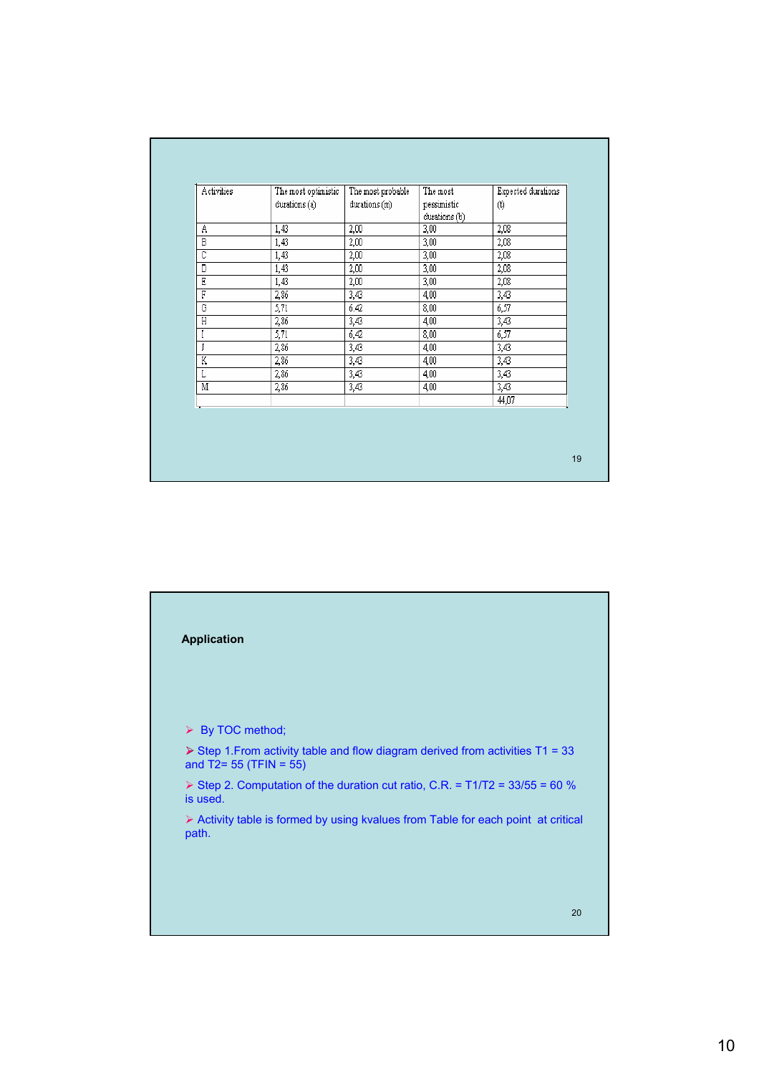| Activities              | The most optimistic<br>durations (a) | The most probable<br>durations (m) | The most<br>pessimistic<br>durations (b) | Expected durations<br>$(\mathfrak{t})$ |
|-------------------------|--------------------------------------|------------------------------------|------------------------------------------|----------------------------------------|
| Α                       | 1,43                                 | 2,00                               | 3,00                                     | 2,08                                   |
| $\overline{B}$          | 1,43                                 | 2,00                               | 3,00                                     | 2,08                                   |
| $\overline{c}$          | 1,43                                 | 2,00                               | 3,00                                     | 2,08                                   |
| D                       | 1,43                                 | 2,00                               | 3,00                                     | 2,08                                   |
| E                       | 1,43                                 | 2,00                               | 3,00                                     | 2,08                                   |
| F                       | 2,86                                 | 3,43                               | 4,00                                     | 3,43                                   |
| G                       | 5,71                                 | 6.42                               | 8,00                                     | 6,57                                   |
| $\overline{H}$          | 2,86                                 | 3,43                               | 4,00                                     | 3,43                                   |
| I                       | 5,71                                 | 6,42                               | 8,00                                     | 6,57                                   |
| J                       | 2,86                                 | 3,43                               | 4,00                                     | 3,43                                   |
| K                       | 2,86                                 | 3,43                               | 4,00                                     | 3,43                                   |
| L                       | 2,86                                 | 3,43                               | 4,00                                     | 3,43                                   |
| $\overline{\mathbb{M}}$ | 2,86                                 | 3,43                               | 4,00                                     | 3,43                                   |
|                         |                                      |                                    |                                          | 44,07                                  |
|                         |                                      |                                    |                                          |                                        |

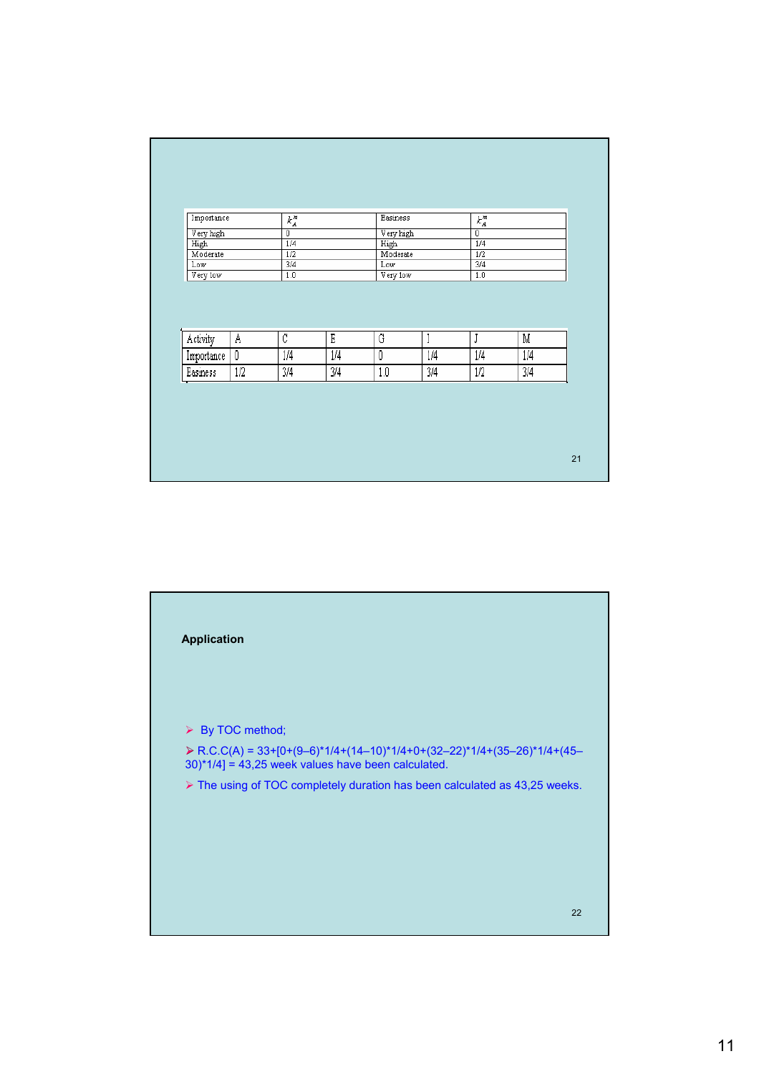| $\overline{0}$<br>Very high<br>$\overline{0}$<br>High<br>1/4<br>High<br>1/4<br>1/2<br>Moderate<br>1/2<br>Moderate<br>3/4<br>3/4<br>Low<br>Low<br>1.0<br>Very low<br>1.0<br>Very low<br>$\overline{c}$<br>E<br>G<br>Ā<br>$\overline{\mathbb{M}}$<br>I<br>J<br>$\overline{\mathbf{0}}$<br>1/4<br>1/4<br>$\boldsymbol{0}$<br>1/4<br>1/4<br>1/4<br>$\overline{1/2}$<br>$\overline{\frac{3}{4}}$<br>Easiness<br>3/4<br>3/4<br>1.0<br>1/2<br>3/4 | Importance |  | $k_A^{\scriptscriptstyle\#}$ |  | Easiness |  | $k_A^{\mathit{m}}$ |  |  |
|--------------------------------------------------------------------------------------------------------------------------------------------------------------------------------------------------------------------------------------------------------------------------------------------------------------------------------------------------------------------------------------------------------------------------------------------|------------|--|------------------------------|--|----------|--|--------------------|--|--|
|                                                                                                                                                                                                                                                                                                                                                                                                                                            | Very high  |  |                              |  |          |  |                    |  |  |
|                                                                                                                                                                                                                                                                                                                                                                                                                                            |            |  |                              |  |          |  |                    |  |  |
|                                                                                                                                                                                                                                                                                                                                                                                                                                            |            |  |                              |  |          |  |                    |  |  |
|                                                                                                                                                                                                                                                                                                                                                                                                                                            |            |  |                              |  |          |  |                    |  |  |
|                                                                                                                                                                                                                                                                                                                                                                                                                                            |            |  |                              |  |          |  |                    |  |  |
|                                                                                                                                                                                                                                                                                                                                                                                                                                            | Activity   |  |                              |  |          |  |                    |  |  |
|                                                                                                                                                                                                                                                                                                                                                                                                                                            | Importance |  |                              |  |          |  |                    |  |  |

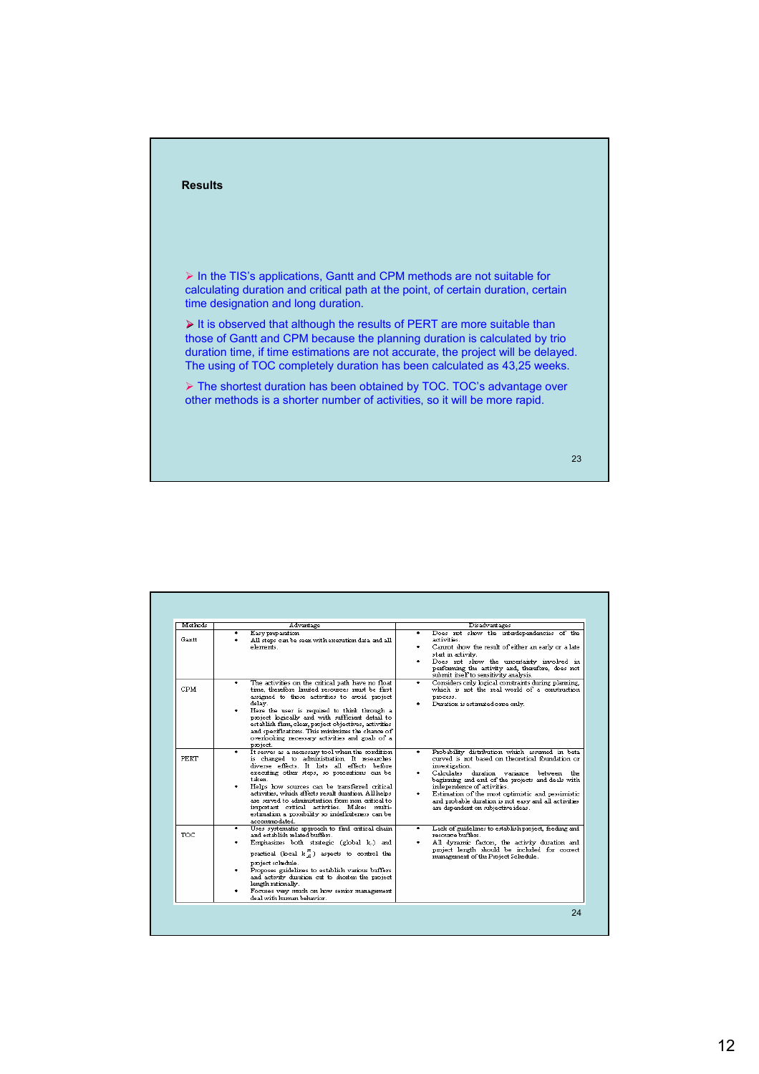

| Easy preparation<br>Gantt<br>elements.<br>٠<br>CPM<br>delay.<br>project.<br>٠                                       | All steps can be seen with execution data and all<br>The activities on the critical path have no float<br>time, therefore limited resources must be first<br>assigned to those activities to avoid project<br>Here the user is required to think through a<br>project logically and with sufficient detail to<br>establish firm, clear, project objectives, activities<br>and specifications. This minimizes the chance of<br>overboking necessary activities and goals of a | ٠ | Does not show the interdependencies of the<br>activities.<br>Cannot show the result of either an early or a late<br>start in activity.<br>Does not show the uncertainty involved in<br>performing the activity and, therefore, does not<br>submit itself to sensitivity analysis.<br>Considers only bgical constraints during planning,<br>which is not the real world of a construction<br>process.<br>Duration is estimated once only. |
|---------------------------------------------------------------------------------------------------------------------|------------------------------------------------------------------------------------------------------------------------------------------------------------------------------------------------------------------------------------------------------------------------------------------------------------------------------------------------------------------------------------------------------------------------------------------------------------------------------|---|------------------------------------------------------------------------------------------------------------------------------------------------------------------------------------------------------------------------------------------------------------------------------------------------------------------------------------------------------------------------------------------------------------------------------------------|
|                                                                                                                     |                                                                                                                                                                                                                                                                                                                                                                                                                                                                              |   |                                                                                                                                                                                                                                                                                                                                                                                                                                          |
|                                                                                                                     |                                                                                                                                                                                                                                                                                                                                                                                                                                                                              |   |                                                                                                                                                                                                                                                                                                                                                                                                                                          |
| PERT<br>taken.<br>accommodated.                                                                                     | It serves as a necessary tool when the condition<br>is changed to administration. It researches<br>diverse effects. It lists all effects before<br>executing other steps, so precautions can be<br>Helps how sources can be transferred critical<br>activities, which affects result duration. All helps<br>are served to administration from non critical to<br>important critical activities. Makes multi-<br>estimation a possibility so indefiniteness can be            | ٠ | Probability distribution which assumed in beta<br>curved is not based on theoretical foundation or<br>investization.<br>Calculates duration variance between<br>the<br>beginning and end of the projects and deals with<br>independence of activities.<br>Estimation of the most optimistic and pessimistic<br>and probable duration is not easy and all activities<br>are dependent on subjective ideas.                                |
| <b>TOC</b><br>and establish related buffers.<br>project schedule.<br>length rationally.<br>deal with human behavior | Uses systematic approach to find critical chain<br>Emphasizes both strategic (global ka) and<br>practical (local $k_A^m$ ) aspects to control the<br>Proposes guidelines to establish various buffers<br>and activity duration cut to shorten the project<br>Focuses very much on how senior management                                                                                                                                                                      | ٠ | Lack of guidelines to establish project, feeding and<br>resource buffers.<br>All dynamic factors, the activity duration and<br>project length should be included for correct<br>management of the Project Schedule.                                                                                                                                                                                                                      |